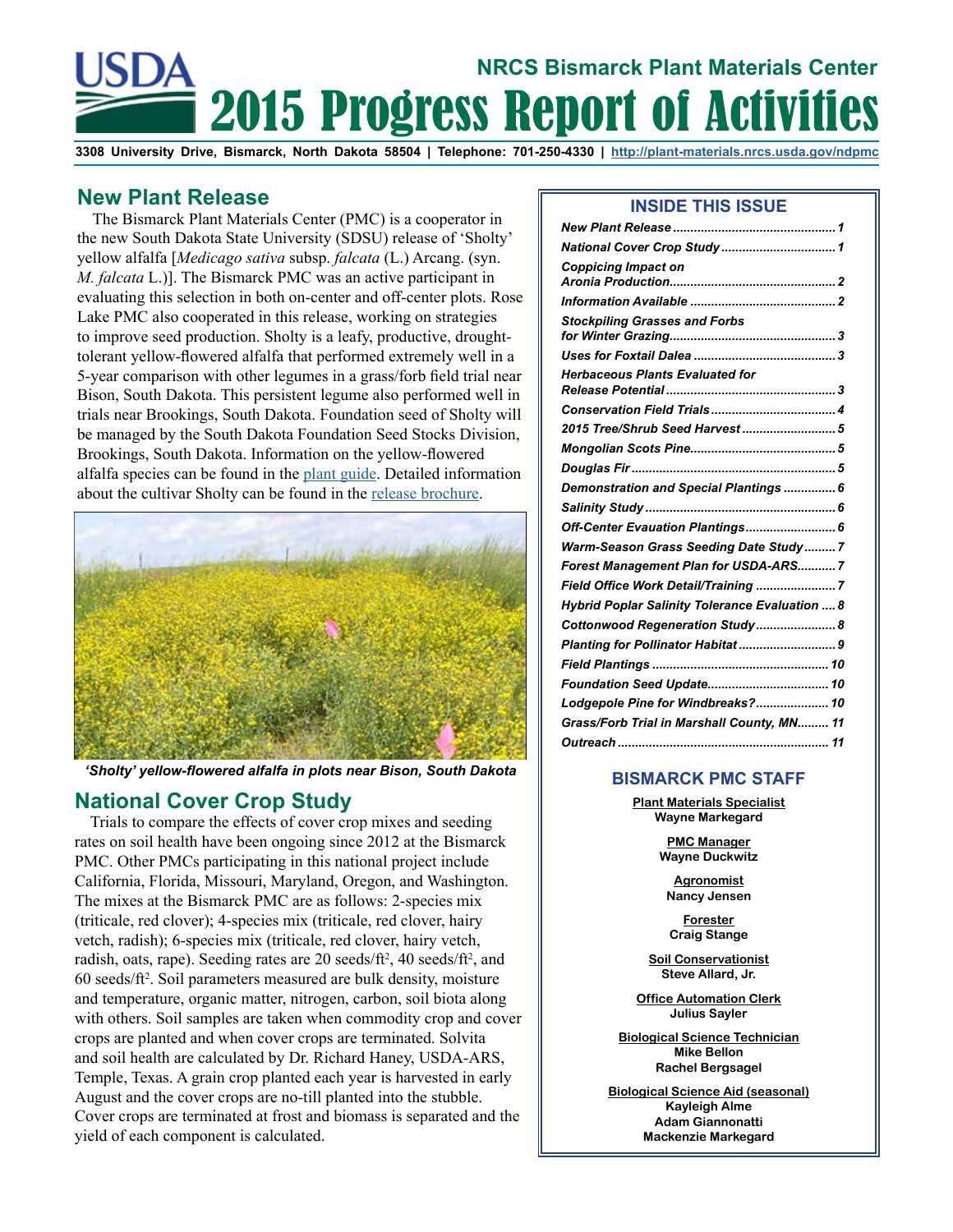# 2015 Progress Report of Activities **NRCS Bismarck Plant Materials Center**

**3308 University Drive, Bismarck, North Dakota 58504 | Telephone: 701-250-4330 | <http://plant-materials.nrcs.usda.gov/ndpmc>**

# <span id="page-0-0"></span>**New Plant Release**

The Bismarck Plant Materials Center (PMC) is a cooperator in the new South Dakota State University (SDSU) release of 'Sholty' yellow alfalfa [*Medicago sativa* subsp. *falcata* (L.) Arcang. (syn. *M. falcata* L.)]. The Bismarck PMC was an active participant in evaluating this selection in both on-center and off-center plots. Rose Lake PMC also cooperated in this release, working on strategies to improve seed production. Sholty is a leafy, productive, droughttolerant yellow-flowered alfalfa that performed extremely well in a 5-year comparison with other legumes in a grass/forb field trial near Bison, South Dakota. This persistent legume also performed well in trials near Brookings, South Dakota. Foundation seed of Sholty will be managed by the South Dakota Foundation Seed Stocks Division, Brookings, South Dakota. Information on the yellow-flowered alfalfa species can be found in the [plant guide.](http://www.nrcs.usda.gov/Internet/FSE_PLANTMATERIALS/publications/ndpmcpg12773.pdf) Detailed information about the cultivar Sholty can be found in the [release brochure.](http://www.nrcs.usda.gov/Internet/FSE_PLANTMATERIALS/publications/ndpmcrb12774.pdf)



*'Sholty' yellow-flowered alfalfa in plots near Bison, South Dakota*

#### <span id="page-0-1"></span>**National Cover Crop Study**

Trials to compare the effects of cover crop mixes and seeding rates on soil health have been ongoing since 2012 at the Bismarck PMC. Other PMCs participating in this national project include California, Florida, Missouri, Maryland, Oregon, and Washington. The mixes at the Bismarck PMC are as follows: 2-species mix (triticale, red clover); 4-species mix (triticale, red clover, hairy vetch, radish); 6-species mix (triticale, red clover, hairy vetch, radish, oats, rape). Seeding rates are 20 seeds/ft<sup>2</sup>, 40 seeds/ft<sup>2</sup>, and 60 seeds/ft2 . Soil parameters measured are bulk density, moisture and temperature, organic matter, nitrogen, carbon, soil biota along with others. Soil samples are taken when commodity crop and cover crops are planted and when cover crops are terminated. Solvita and soil health are calculated by Dr. Richard Haney, USDA-ARS, Temple, Texas. A grain crop planted each year is harvested in early August and the cover crops are no-till planted into the stubble. Cover crops are terminated at frost and biomass is separated and the yield of each component is calculated.

#### **INSIDE THIS ISSUE**

| <b>Coppicing Impact on</b>                     |
|------------------------------------------------|
|                                                |
| <b>Stockpiling Grasses and Forbs</b>           |
|                                                |
| <b>Herbaceous Plants Evaluated for</b>         |
|                                                |
| 2015 Tree/Shrub Seed Harvest 5                 |
|                                                |
|                                                |
| Demonstration and Special Plantings  6         |
|                                                |
| Off-Center Evauation Plantings 6               |
| Warm-Season Grass Seeding Date Study7          |
| Forest Management Plan for USDA-ARS7           |
| Field Office Work Detail/Training  7           |
| Hybrid Poplar Salinity Tolerance Evaluation  8 |
| Cottonwood Regeneration Study 8                |
| Planting for Pollinator Habitat  9             |
|                                                |
|                                                |
| Lodgepole Pine for Windbreaks? 10              |
| Grass/Forb Trial in Marshall County, MN 11     |
|                                                |

#### **BISMARCK PMC STAFF**

**Plant Materials Specialist Wayne Markegard**

> **PMC Manager Wayne Duckwitz**

**Agronomist Nancy Jensen** 

**Forester Craig Stange** 

**Soil Conservationist Steve Allard, Jr.**

**Office Automation Clerk Julius Sayler**

**Biological Science Technician Mike Bellon Rachel Bergsagel**

**Biological Science Aid (seasonal) Kayleigh Alme Adam Giannonatti Mackenzie Markegard**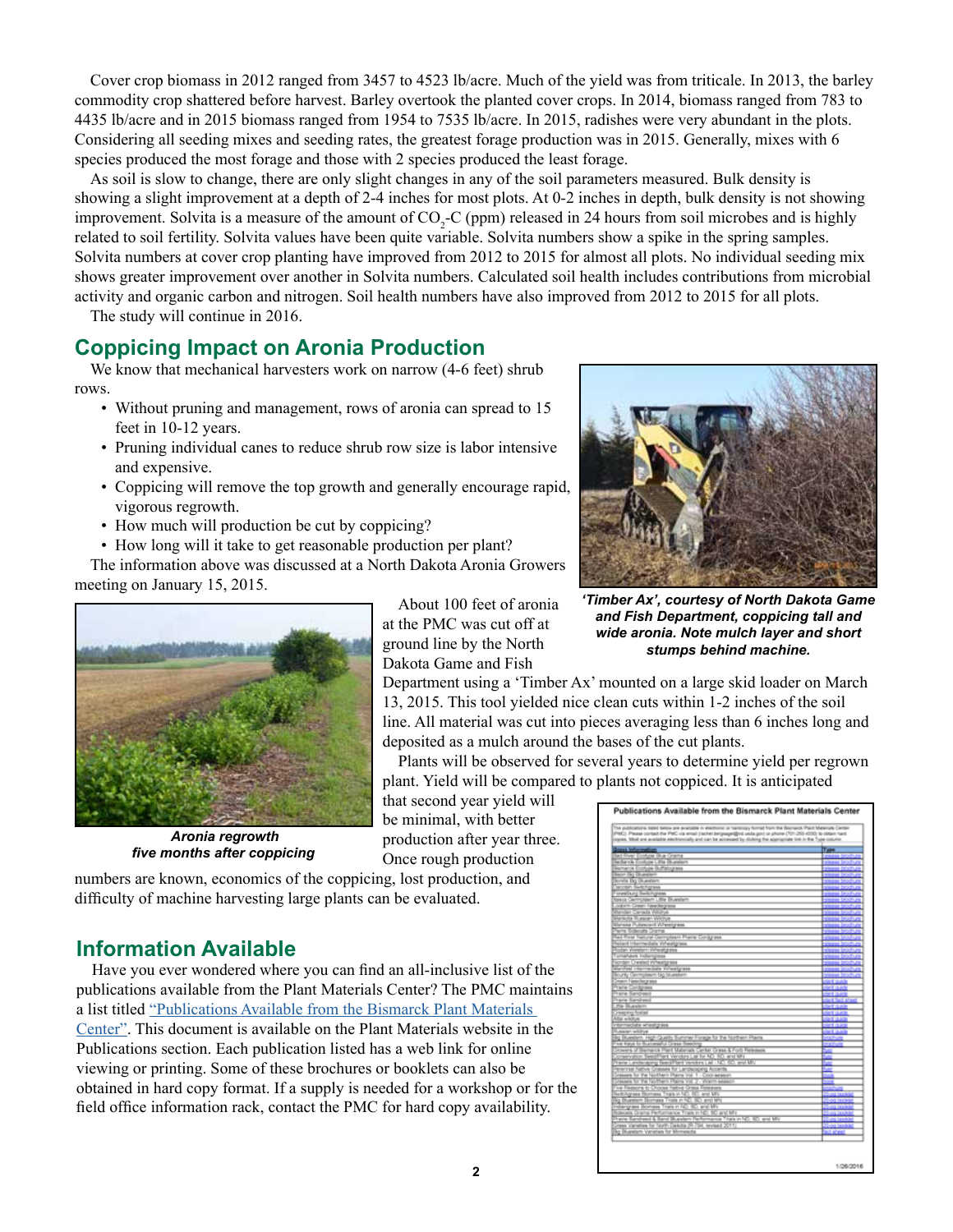Cover crop biomass in 2012 ranged from 3457 to 4523 lb/acre. Much of the yield was from triticale. In 2013, the barley commodity crop shattered before harvest. Barley overtook the planted cover crops. In 2014, biomass ranged from 783 to 4435 lb/acre and in 2015 biomass ranged from 1954 to 7535 lb/acre. In 2015, radishes were very abundant in the plots. Considering all seeding mixes and seeding rates, the greatest forage production was in 2015. Generally, mixes with 6 species produced the most forage and those with 2 species produced the least forage.

As soil is slow to change, there are only slight changes in any of the soil parameters measured. Bulk density is showing a slight improvement at a depth of 2-4 inches for most plots. At 0-2 inches in depth, bulk density is not showing improvement. Solvita is a measure of the amount of  $CO_2$ -C (ppm) released in 24 hours from soil microbes and is highly related to soil fertility. Solvita values have been quite variable. Solvita numbers show a spike in the spring samples. Solvita numbers at cover crop planting have improved from 2012 to 2015 for almost all plots. No individual seeding mix shows greater improvement over another in Solvita numbers. Calculated soil health includes contributions from microbial activity and organic carbon and nitrogen. Soil health numbers have also improved from 2012 to 2015 for all plots. The study will continue in 2016.

# <span id="page-1-0"></span>**Coppicing Impact on Aronia Production**

We know that mechanical harvesters work on narrow (4-6 feet) shrub rows.

- Without pruning and management, rows of aronia can spread to 15 feet in 10-12 years.
- Pruning individual canes to reduce shrub row size is labor intensive and expensive.
- Coppicing will remove the top growth and generally encourage rapid, vigorous regrowth.
- How much will production be cut by coppicing?
- How long will it take to get reasonable production per plant?

The information above was discussed at a North Dakota Aronia Growers meeting on January 15, 2015.



 *Aronia regrowth five months after coppicing*

About 100 feet of aronia at the PMC was cut off at ground line by the North Dakota Game and Fish

Department using a 'Timber Ax' mounted on a large skid loader on March 13, 2015. This tool yielded nice clean cuts within 1-2 inches of the soil line. All material was cut into pieces averaging less than 6 inches long and deposited as a mulch around the bases of the cut plants.

Plants will be observed for several years to determine yield per regrown plant. Yield will be compared to plants not coppiced. It is anticipated

that second year yield will be minimal, with better production after year three. Once rough production

numbers are known, economics of the coppicing, lost production, and difficulty of machine harvesting large plants can be evaluated.

# <span id="page-1-1"></span>**Information Available**

Have you ever wondered where you can find an all-inclusive list of the publications available from the Plant Materials Center? The PMC maintains a list titled ["Publications Available from the Bismarck Plant Materials](http://www.nrcs.usda.gov/Internet/FSE_PLANTMATERIALS/publications/ndpmcbr10937.pdf)  [Center".](http://www.nrcs.usda.gov/Internet/FSE_PLANTMATERIALS/publications/ndpmcbr10937.pdf) This document is available on the Plant Materials website in the Publications section. Each publication listed has a web link for online viewing or printing. Some of these brochures or booklets can also be obtained in hard copy format. If a supply is needed for a workshop or for the field office information rack, contact the PMC for hard copy availability.



*'Timber Ax', courtesy of North Dakota Game and Fish Department, coppicing tall and wide aronia. Note mulch layer and short stumps behind machine.*

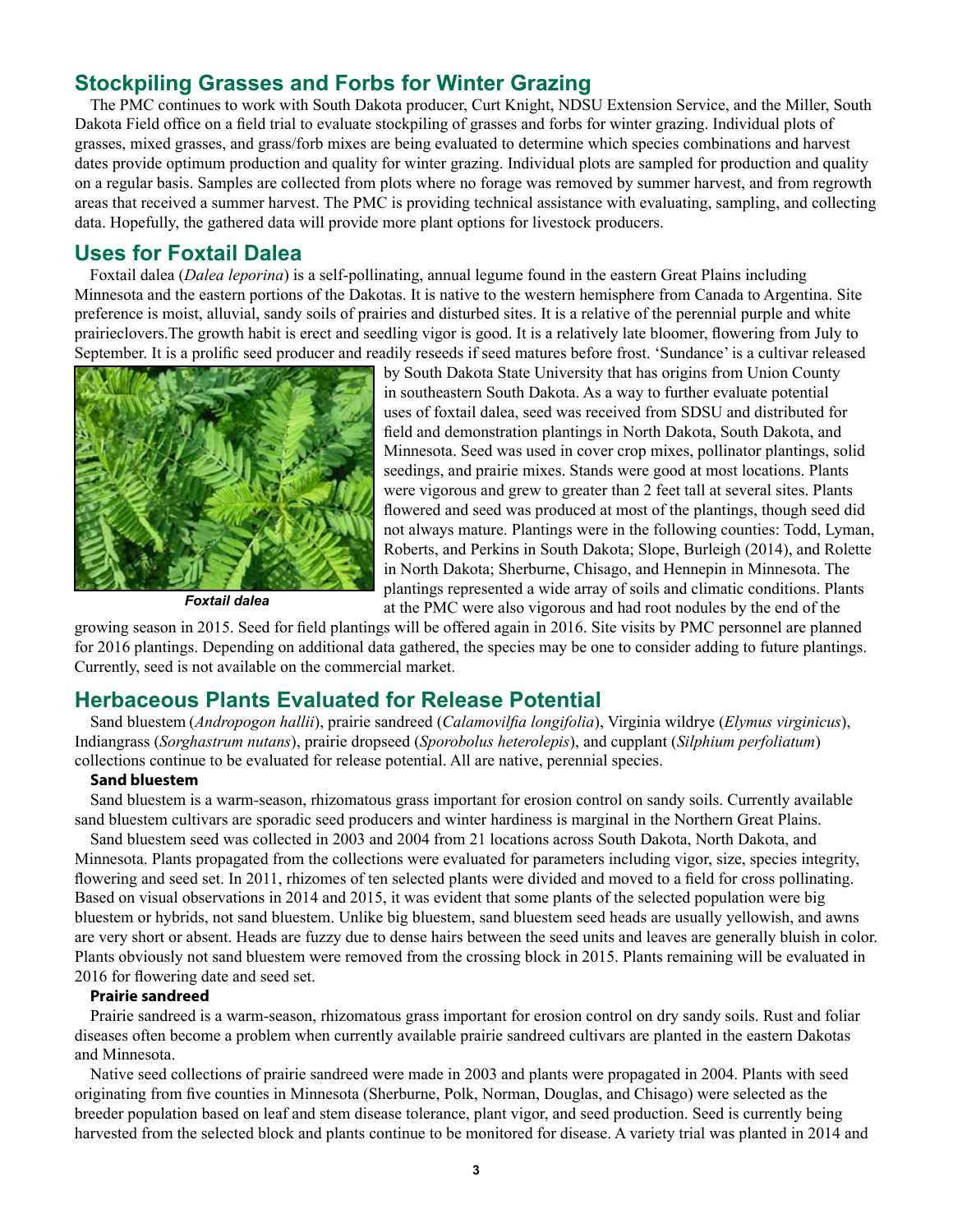## <span id="page-2-0"></span>**Stockpiling Grasses and Forbs for Winter Grazing**

The PMC continues to work with South Dakota producer, Curt Knight, NDSU Extension Service, and the Miller, South Dakota Field office on a field trial to evaluate stockpiling of grasses and forbs for winter grazing. Individual plots of grasses, mixed grasses, and grass/forb mixes are being evaluated to determine which species combinations and harvest dates provide optimum production and quality for winter grazing. Individual plots are sampled for production and quality on a regular basis. Samples are collected from plots where no forage was removed by summer harvest, and from regrowth areas that received a summer harvest. The PMC is providing technical assistance with evaluating, sampling, and collecting data. Hopefully, the gathered data will provide more plant options for livestock producers.

#### <span id="page-2-1"></span>**Uses for Foxtail Dalea**

Foxtail dalea (*Dalea leporina*) is a self-pollinating, annual legume found in the eastern Great Plains including Minnesota and the eastern portions of the Dakotas. It is native to the western hemisphere from Canada to Argentina. Site preference is moist, alluvial, sandy soils of prairies and disturbed sites. It is a relative of the perennial purple and white prairieclovers.The growth habit is erect and seedling vigor is good. It is a relatively late bloomer, flowering from July to September. It is a prolific seed producer and readily reseeds if seed matures before frost. 'Sundance' is a cultivar released



*Foxtail dalea*

by South Dakota State University that has origins from Union County in southeastern South Dakota. As a way to further evaluate potential uses of foxtail dalea, seed was received from SDSU and distributed for field and demonstration plantings in North Dakota, South Dakota, and Minnesota. Seed was used in cover crop mixes, pollinator plantings, solid seedings, and prairie mixes. Stands were good at most locations. Plants were vigorous and grew to greater than 2 feet tall at several sites. Plants flowered and seed was produced at most of the plantings, though seed did not always mature. Plantings were in the following counties: Todd, Lyman, Roberts, and Perkins in South Dakota; Slope, Burleigh (2014), and Rolette in North Dakota; Sherburne, Chisago, and Hennepin in Minnesota. The plantings represented a wide array of soils and climatic conditions. Plants at the PMC were also vigorous and had root nodules by the end of the

growing season in 2015. Seed for field plantings will be offered again in 2016. Site visits by PMC personnel are planned for 2016 plantings. Depending on additional data gathered, the species may be one to consider adding to future plantings. Currently, seed is not available on the commercial market.

#### <span id="page-2-2"></span>**Herbaceous Plants Evaluated for Release Potential**

Sand bluestem (*Andropogon hallii*), prairie sandreed (*Calamovilfia longifolia*), Virginia wildrye (*Elymus virginicus*), Indiangrass (*Sorghastrum nutans*), prairie dropseed (*Sporobolus heterolepis*), and cupplant (*Silphium perfoliatum*) collections continue to be evaluated for release potential. All are native, perennial species.

#### **Sand bluestem**

Sand bluestem is a warm-season, rhizomatous grass important for erosion control on sandy soils. Currently available sand bluestem cultivars are sporadic seed producers and winter hardiness is marginal in the Northern Great Plains.

Sand bluestem seed was collected in 2003 and 2004 from 21 locations across South Dakota, North Dakota, and Minnesota. Plants propagated from the collections were evaluated for parameters including vigor, size, species integrity, flowering and seed set. In 2011, rhizomes of ten selected plants were divided and moved to a field for cross pollinating. Based on visual observations in 2014 and 2015, it was evident that some plants of the selected population were big bluestem or hybrids, not sand bluestem. Unlike big bluestem, sand bluestem seed heads are usually yellowish, and awns are very short or absent. Heads are fuzzy due to dense hairs between the seed units and leaves are generally bluish in color. Plants obviously not sand bluestem were removed from the crossing block in 2015. Plants remaining will be evaluated in 2016 for flowering date and seed set.

#### **Prairie sandreed**

Prairie sandreed is a warm-season, rhizomatous grass important for erosion control on dry sandy soils. Rust and foliar diseases often become a problem when currently available prairie sandreed cultivars are planted in the eastern Dakotas and Minnesota.

Native seed collections of prairie sandreed were made in 2003 and plants were propagated in 2004. Plants with seed originating from five counties in Minnesota (Sherburne, Polk, Norman, Douglas, and Chisago) were selected as the breeder population based on leaf and stem disease tolerance, plant vigor, and seed production. Seed is currently being harvested from the selected block and plants continue to be monitored for disease. A variety trial was planted in 2014 and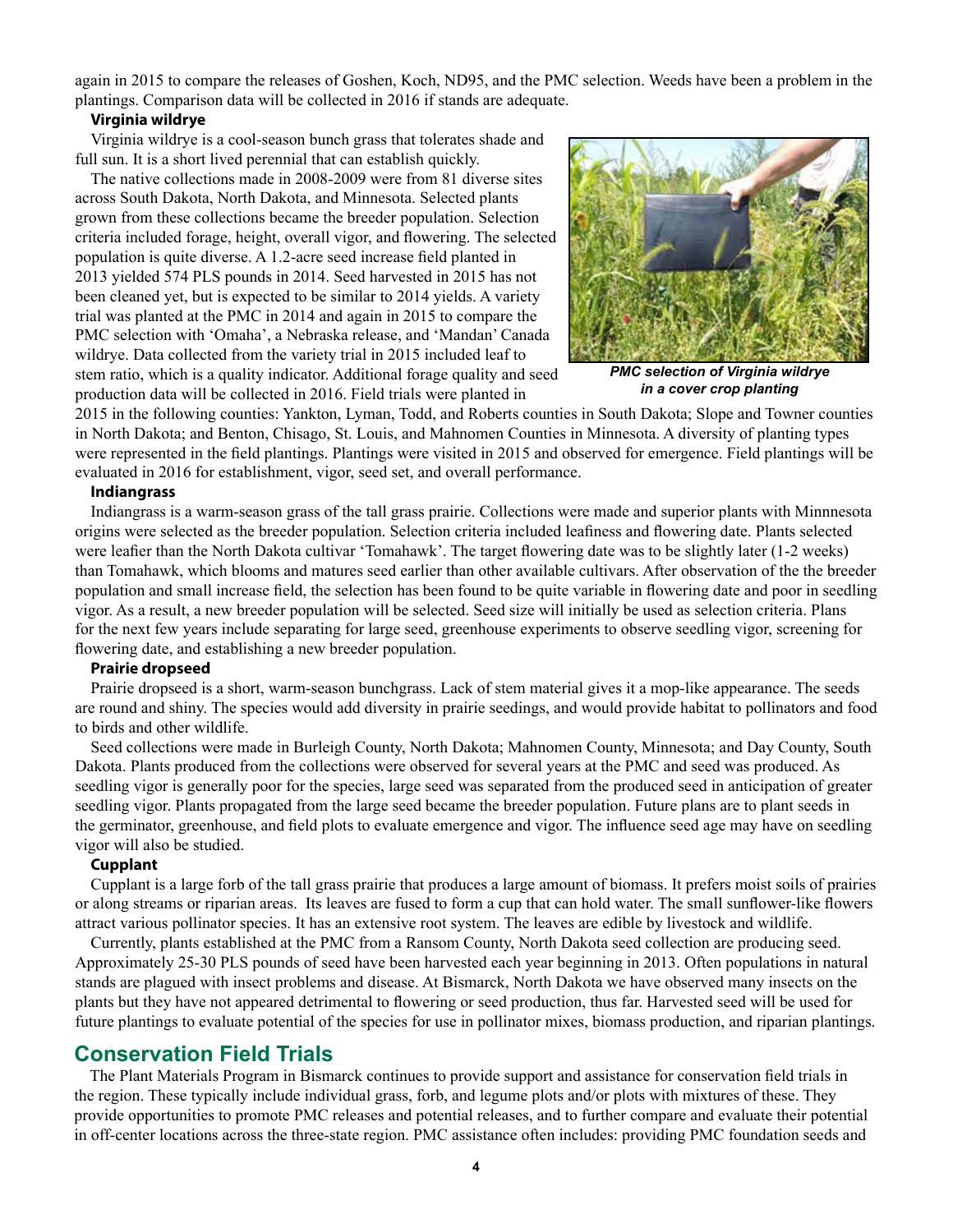again in 2015 to compare the releases of Goshen, Koch, ND95, and the PMC selection. Weeds have been a problem in the plantings. Comparison data will be collected in 2016 if stands are adequate.

#### **Virginia wildrye**

Virginia wildrye is a cool-season bunch grass that tolerates shade and full sun. It is a short lived perennial that can establish quickly.

The native collections made in 2008-2009 were from 81 diverse sites across South Dakota, North Dakota, and Minnesota. Selected plants grown from these collections became the breeder population. Selection criteria included forage, height, overall vigor, and flowering. The selected population is quite diverse. A 1.2-acre seed increase field planted in 2013 yielded 574 PLS pounds in 2014. Seed harvested in 2015 has not been cleaned yet, but is expected to be similar to 2014 yields. A variety trial was planted at the PMC in 2014 and again in 2015 to compare the PMC selection with 'Omaha', a Nebraska release, and 'Mandan' Canada wildrye. Data collected from the variety trial in 2015 included leaf to stem ratio, which is a quality indicator. Additional forage quality and seed production data will be collected in 2016. Field trials were planted in



*PMC selection of Virginia wildrye in a cover crop planting*

2015 in the following counties: Yankton, Lyman, Todd, and Roberts counties in South Dakota; Slope and Towner counties in North Dakota; and Benton, Chisago, St. Louis, and Mahnomen Counties in Minnesota. A diversity of planting types were represented in the field plantings. Plantings were visited in 2015 and observed for emergence. Field plantings will be evaluated in 2016 for establishment, vigor, seed set, and overall performance.

#### **Indiangrass**

Indiangrass is a warm-season grass of the tall grass prairie. Collections were made and superior plants with Minnnesota origins were selected as the breeder population. Selection criteria included leafiness and flowering date. Plants selected were leafier than the North Dakota cultivar 'Tomahawk'. The target flowering date was to be slightly later (1-2 weeks) than Tomahawk, which blooms and matures seed earlier than other available cultivars. After observation of the the breeder population and small increase field, the selection has been found to be quite variable in flowering date and poor in seedling vigor. As a result, a new breeder population will be selected. Seed size will initially be used as selection criteria. Plans for the next few years include separating for large seed, greenhouse experiments to observe seedling vigor, screening for flowering date, and establishing a new breeder population.

#### **Prairie dropseed**

Prairie dropseed is a short, warm-season bunchgrass. Lack of stem material gives it a mop-like appearance. The seeds are round and shiny. The species would add diversity in prairie seedings, and would provide habitat to pollinators and food to birds and other wildlife.

Seed collections were made in Burleigh County, North Dakota; Mahnomen County, Minnesota; and Day County, South Dakota. Plants produced from the collections were observed for several years at the PMC and seed was produced. As seedling vigor is generally poor for the species, large seed was separated from the produced seed in anticipation of greater seedling vigor. Plants propagated from the large seed became the breeder population. Future plans are to plant seeds in the germinator, greenhouse, and field plots to evaluate emergence and vigor. The influence seed age may have on seedling vigor will also be studied.

#### **Cupplant**

Cupplant is a large forb of the tall grass prairie that produces a large amount of biomass. It prefers moist soils of prairies or along streams or riparian areas. Its leaves are fused to form a cup that can hold water. The small sunflower-like flowers attract various pollinator species. It has an extensive root system. The leaves are edible by livestock and wildlife.

Currently, plants established at the PMC from a Ransom County, North Dakota seed collection are producing seed. Approximately 25-30 PLS pounds of seed have been harvested each year beginning in 2013. Often populations in natural stands are plagued with insect problems and disease. At Bismarck, North Dakota we have observed many insects on the plants but they have not appeared detrimental to flowering or seed production, thus far. Harvested seed will be used for future plantings to evaluate potential of the species for use in pollinator mixes, biomass production, and riparian plantings.

#### <span id="page-3-0"></span>**Conservation Field Trials**

The Plant Materials Program in Bismarck continues to provide support and assistance for conservation field trials in the region. These typically include individual grass, forb, and legume plots and/or plots with mixtures of these. They provide opportunities to promote PMC releases and potential releases, and to further compare and evaluate their potential in off-center locations across the three-state region. PMC assistance often includes: providing PMC foundation seeds and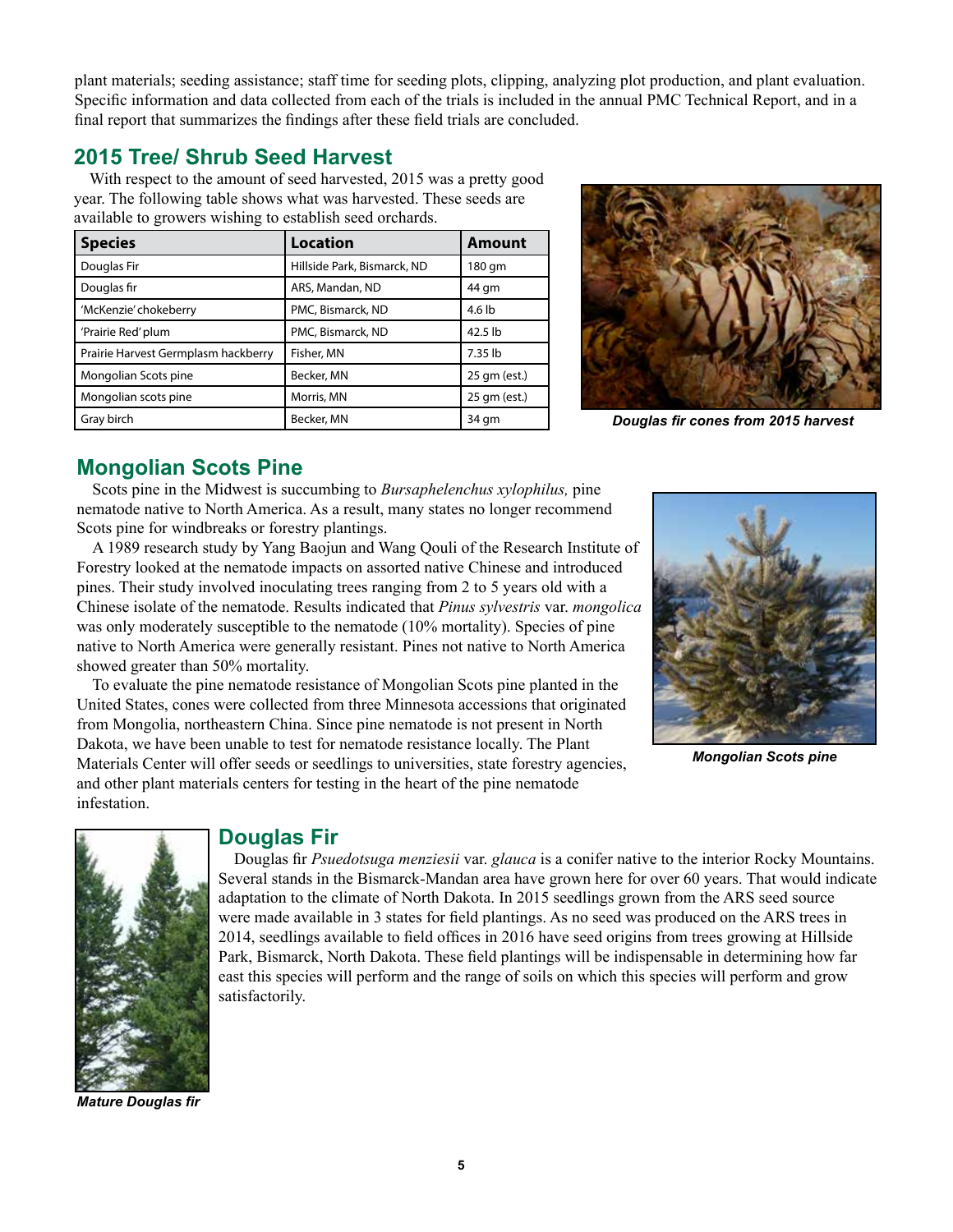**5**

plant materials; seeding assistance; staff time for seeding plots, clipping, analyzing plot production, and plant evaluation. Specific information and data collected from each of the trials is included in the annual PMC Technical Report, and in a final report that summarizes the findings after these field trials are concluded.

# <span id="page-4-0"></span>**2015 Tree/ Shrub Seed Harvest**

With respect to the amount of seed harvested, 2015 was a pretty good year. The following table shows what was harvested. These seeds are available to growers wishing to establish seed orchards.

| <b>Species</b>                      | Location                    | <b>Amount</b> |  |  |  |  |
|-------------------------------------|-----------------------------|---------------|--|--|--|--|
| Douglas Fir                         | Hillside Park, Bismarck, ND | 180 gm        |  |  |  |  |
| Douglas fir                         | ARS, Mandan, ND             | 44 gm         |  |  |  |  |
| 'McKenzie' chokeberry               | PMC, Bismarck, ND           | 4.6 lb        |  |  |  |  |
| 'Prairie Red' plum                  | PMC, Bismarck, ND           | 42.5 lb       |  |  |  |  |
| Prairie Harvest Germplasm hackberry | Fisher, MN                  | 7.35 lb       |  |  |  |  |
| Mongolian Scots pine                | Becker, MN                  | 25 gm (est.)  |  |  |  |  |
| Mongolian scots pine                | Morris, MN                  | 25 gm (est.)  |  |  |  |  |
| Gray birch                          | Becker, MN                  | 34 gm         |  |  |  |  |

 *Douglas fir cones from 2015 harvest*

## <span id="page-4-1"></span>**Mongolian Scots Pine**

Scots pine in the Midwest is succumbing to *Bursaphelenchus xylophilus,* pine nematode native to North America. As a result, many states no longer recommend Scots pine for windbreaks or forestry plantings.

A 1989 research study by Yang Baojun and Wang Qouli of the Research Institute of Forestry looked at the nematode impacts on assorted native Chinese and introduced pines. Their study involved inoculating trees ranging from 2 to 5 years old with a Chinese isolate of the nematode. Results indicated that *Pinus sylvestris* var. *mongolica* was only moderately susceptible to the nematode (10% mortality). Species of pine native to North America were generally resistant. Pines not native to North America showed greater than 50% mortality.

To evaluate the pine nematode resistance of Mongolian Scots pine planted in the United States, cones were collected from three Minnesota accessions that originated from Mongolia, northeastern China. Since pine nematode is not present in North Dakota, we have been unable to test for nematode resistance locally. The Plant Materials Center will offer seeds or seedlings to universities, state forestry agencies, and other plant materials centers for testing in the heart of the pine nematode infestation.



*Mongolian Scots pine*

*Mature Douglas fir*

#### <span id="page-4-2"></span>**Douglas Fir**

Douglas fir *Psuedotsuga menziesii* var. *glauca* is a conifer native to the interior Rocky Mountains. Several stands in the Bismarck-Mandan area have grown here for over 60 years. That would indicate adaptation to the climate of North Dakota. In 2015 seedlings grown from the ARS seed source were made available in 3 states for field plantings. As no seed was produced on the ARS trees in 2014, seedlings available to field offices in 2016 have seed origins from trees growing at Hillside Park, Bismarck, North Dakota. These field plantings will be indispensable in determining how far east this species will perform and the range of soils on which this species will perform and grow satisfactorily.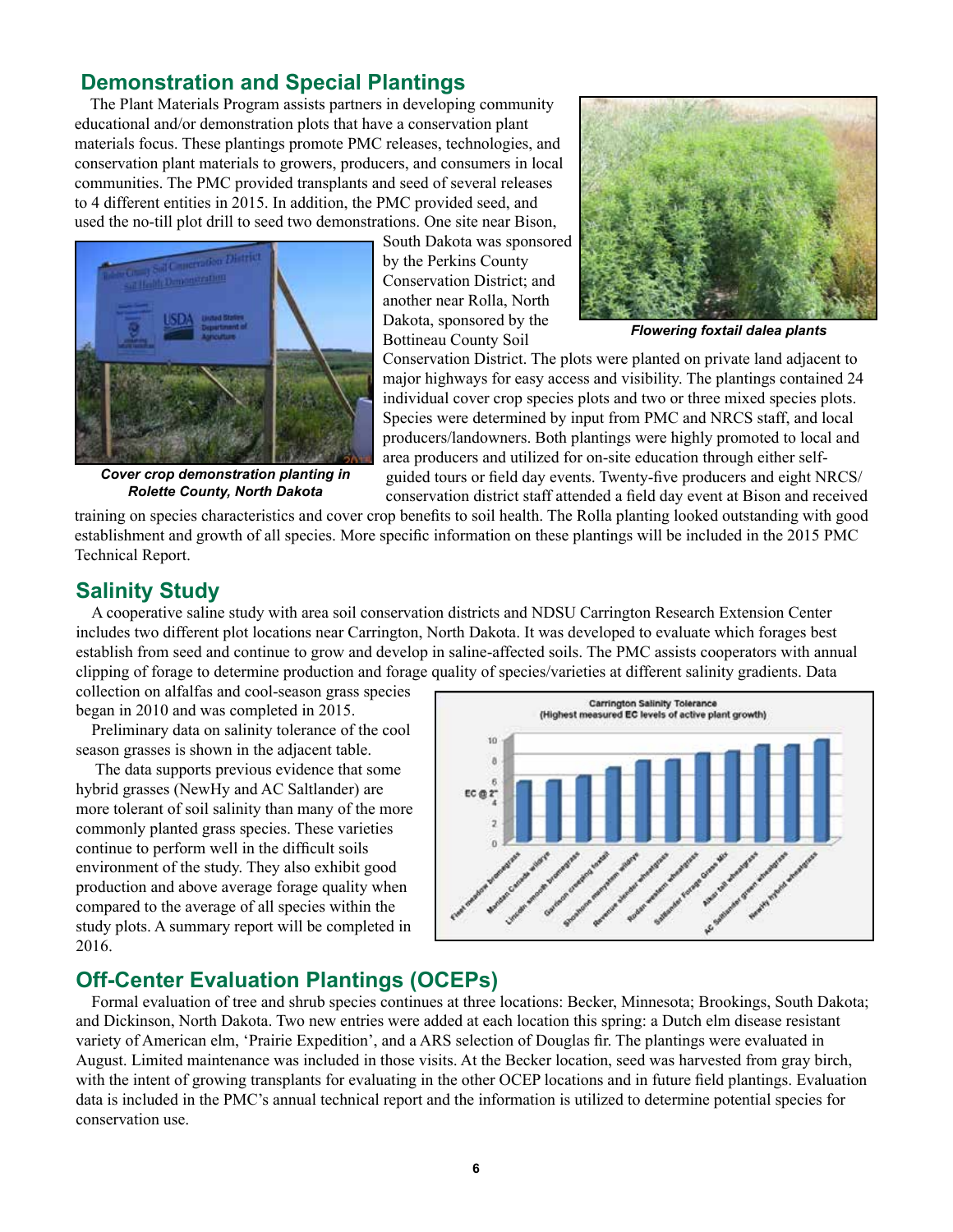## <span id="page-5-0"></span> **Demonstration and Special Plantings**

The Plant Materials Program assists partners in developing community educational and/or demonstration plots that have a conservation plant materials focus. These plantings promote PMC releases, technologies, and conservation plant materials to growers, producers, and consumers in local communities. The PMC provided transplants and seed of several releases to 4 different entities in 2015. In addition, the PMC provided seed, and used the no-till plot drill to seed two demonstrations. One site near Bison,



*Cover crop demonstration planting in Rolette County, North Dakota*

South Dakota was sponsored by the Perkins County Conservation District; and another near Rolla, North Dakota, sponsored by the Bottineau County Soil



*Flowering foxtail dalea plants*

Conservation District. The plots were planted on private land adjacent to major highways for easy access and visibility. The plantings contained 24 individual cover crop species plots and two or three mixed species plots. Species were determined by input from PMC and NRCS staff, and local producers/landowners. Both plantings were highly promoted to local and area producers and utilized for on-site education through either selfguided tours or field day events. Twenty-five producers and eight NRCS/ conservation district staff attended a field day event at Bison and received

training on species characteristics and cover crop benefits to soil health. The Rolla planting looked outstanding with good establishment and growth of all species. More specific information on these plantings will be included in the 2015 PMC Technical Report.

## <span id="page-5-1"></span>**Salinity Study**

A cooperative saline study with area soil conservation districts and NDSU Carrington Research Extension Center includes two different plot locations near Carrington, North Dakota. It was developed to evaluate which forages best establish from seed and continue to grow and develop in saline-affected soils. The PMC assists cooperators with annual clipping of forage to determine production and forage quality of species/varieties at different salinity gradients. Data

collection on alfalfas and cool-season grass species began in 2010 and was completed in 2015.

Preliminary data on salinity tolerance of the cool season grasses is shown in the adjacent table.

 The data supports previous evidence that some hybrid grasses (NewHy and AC Saltlander) are more tolerant of soil salinity than many of the more commonly planted grass species. These varieties continue to perform well in the difficult soils environment of the study. They also exhibit good production and above average forage quality when compared to the average of all species within the study plots. A summary report will be completed in 2016.



## <span id="page-5-2"></span>**Off-Center Evaluation Plantings (OCEPs)**

Formal evaluation of tree and shrub species continues at three locations: Becker, Minnesota; Brookings, South Dakota; and Dickinson, North Dakota. Two new entries were added at each location this spring: a Dutch elm disease resistant variety of American elm, 'Prairie Expedition', and a ARS selection of Douglas fir. The plantings were evaluated in August. Limited maintenance was included in those visits. At the Becker location, seed was harvested from gray birch, with the intent of growing transplants for evaluating in the other OCEP locations and in future field plantings. Evaluation data is included in the PMC's annual technical report and the information is utilized to determine potential species for conservation use.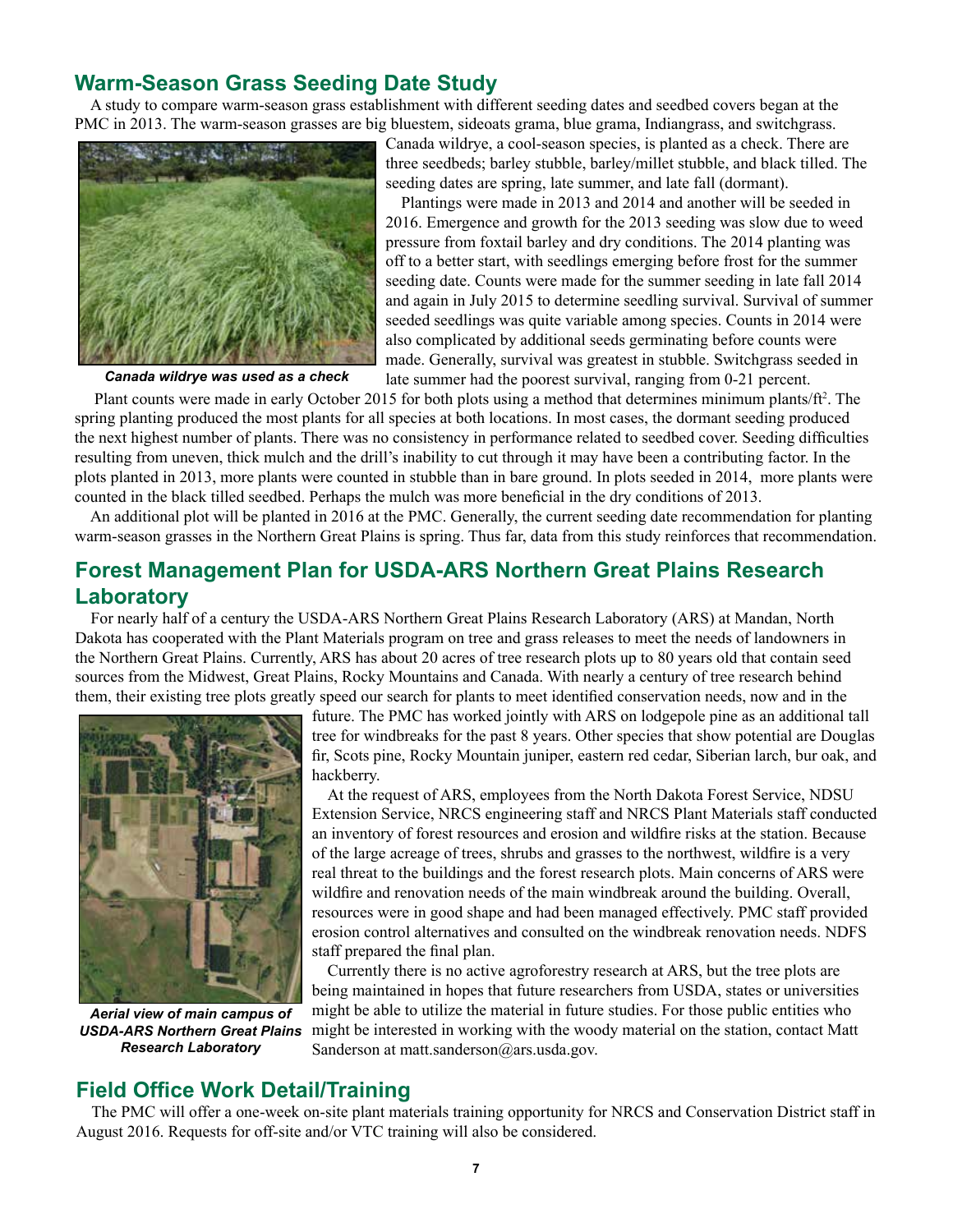### <span id="page-6-0"></span>**Warm-Season Grass Seeding Date Study**

A study to compare warm-season grass establishment with different seeding dates and seedbed covers began at the PMC in 2013. The warm-season grasses are big bluestem, sideoats grama, blue grama, Indiangrass, and switchgrass.



Canada wildrye, a cool-season species, is planted as a check. There are three seedbeds; barley stubble, barley/millet stubble, and black tilled. The seeding dates are spring, late summer, and late fall (dormant).

Plantings were made in 2013 and 2014 and another will be seeded in 2016. Emergence and growth for the 2013 seeding was slow due to weed pressure from foxtail barley and dry conditions. The 2014 planting was off to a better start, with seedlings emerging before frost for the summer seeding date. Counts were made for the summer seeding in late fall 2014 and again in July 2015 to determine seedling survival. Survival of summer seeded seedlings was quite variable among species. Counts in 2014 were also complicated by additional seeds germinating before counts were made. Generally, survival was greatest in stubble. Switchgrass seeded in late summer had the poorest survival, ranging from 0-21 percent.

*Canada wildrye was used as a check*

Plant counts were made in early October 2015 for both plots using a method that determines minimum plants/ft<sup>2</sup>. The spring planting produced the most plants for all species at both locations. In most cases, the dormant seeding produced the next highest number of plants. There was no consistency in performance related to seedbed cover. Seeding difficulties resulting from uneven, thick mulch and the drill's inability to cut through it may have been a contributing factor. In the plots planted in 2013, more plants were counted in stubble than in bare ground. In plots seeded in 2014, more plants were counted in the black tilled seedbed. Perhaps the mulch was more beneficial in the dry conditions of 2013.

An additional plot will be planted in 2016 at the PMC. Generally, the current seeding date recommendation for planting warm-season grasses in the Northern Great Plains is spring. Thus far, data from this study reinforces that recommendation.

# <span id="page-6-1"></span>**Forest Management Plan for USDA-ARS Northern Great Plains Research Laboratory**

For nearly half of a century the USDA-ARS Northern Great Plains Research Laboratory (ARS) at Mandan, North Dakota has cooperated with the Plant Materials program on tree and grass releases to meet the needs of landowners in the Northern Great Plains. Currently, ARS has about 20 acres of tree research plots up to 80 years old that contain seed sources from the Midwest, Great Plains, Rocky Mountains and Canada. With nearly a century of tree research behind them, their existing tree plots greatly speed our search for plants to meet identified conservation needs, now and in the



*Aerial view of main campus of USDA-ARS Northern Great Plains Research Laboratory*

future. The PMC has worked jointly with ARS on lodgepole pine as an additional tall tree for windbreaks for the past 8 years. Other species that show potential are Douglas fir, Scots pine, Rocky Mountain juniper, eastern red cedar, Siberian larch, bur oak, and hackberry.

At the request of ARS, employees from the North Dakota Forest Service, NDSU Extension Service, NRCS engineering staff and NRCS Plant Materials staff conducted an inventory of forest resources and erosion and wildfire risks at the station. Because of the large acreage of trees, shrubs and grasses to the northwest, wildfire is a very real threat to the buildings and the forest research plots. Main concerns of ARS were wildfire and renovation needs of the main windbreak around the building. Overall, resources were in good shape and had been managed effectively. PMC staff provided erosion control alternatives and consulted on the windbreak renovation needs. NDFS staff prepared the final plan.

Currently there is no active agroforestry research at ARS, but the tree plots are being maintained in hopes that future researchers from USDA, states or universities might be able to utilize the material in future studies. For those public entities who might be interested in working with the woody material on the station, contact Matt Sanderson at matt.sanderson@ars.usda.gov.

#### <span id="page-6-2"></span>**Field Office Work Detail/Training**

The PMC will offer a one-week on-site plant materials training opportunity for NRCS and Conservation District staff in August 2016. Requests for off-site and/or VTC training will also be considered.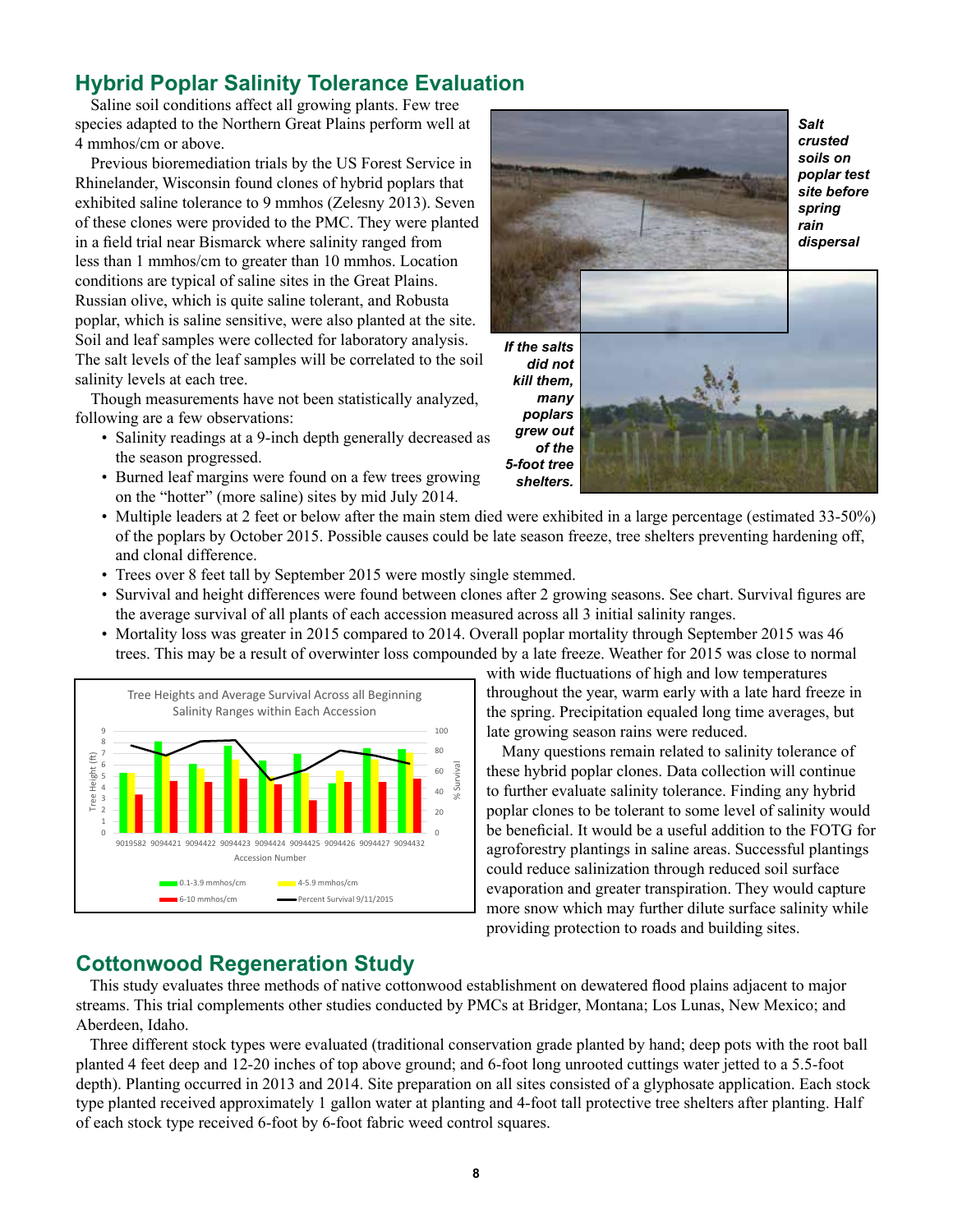# <span id="page-7-0"></span>**Hybrid Poplar Salinity Tolerance Evaluation**

Saline soil conditions affect all growing plants. Few tree species adapted to the Northern Great Plains perform well at 4 mmhos/cm or above.

Previous bioremediation trials by the US Forest Service in Rhinelander, Wisconsin found clones of hybrid poplars that exhibited saline tolerance to 9 mmhos (Zelesny 2013). Seven of these clones were provided to the PMC. They were planted in a field trial near Bismarck where salinity ranged from less than 1 mmhos/cm to greater than 10 mmhos. Location conditions are typical of saline sites in the Great Plains. Russian olive, which is quite saline tolerant, and Robusta poplar, which is saline sensitive, were also planted at the site. Soil and leaf samples were collected for laboratory analysis. The salt levels of the leaf samples will be correlated to the soil salinity levels at each tree.

Though measurements have not been statistically analyzed, following are a few observations:

- Salinity readings at a 9-inch depth generally decreased as the season progressed.
- Burned leaf margins were found on a few trees growing on the "hotter" (more saline) sites by mid July 2014.



*Salt crusted soils on poplar test site before spring rain dispersal*

*If the salts did not kill them, many poplars grew out of the 5-foot tree shelters.*



- Multiple leaders at 2 feet or below after the main stem died were exhibited in a large percentage (estimated 33-50%) of the poplars by October 2015. Possible causes could be late season freeze, tree shelters preventing hardening off, and clonal difference.
- Trees over 8 feet tall by September 2015 were mostly single stemmed.
- Survival and height differences were found between clones after 2 growing seasons. See chart. Survival figures are the average survival of all plants of each accession measured across all 3 initial salinity ranges.
- Mortality loss was greater in 2015 compared to 2014. Overall poplar mortality through September 2015 was 46 trees. This may be a result of overwinter loss compounded by a late freeze. Weather for 2015 was close to normal



with wide fluctuations of high and low temperatures throughout the year, warm early with a late hard freeze in the spring. Precipitation equaled long time averages, but late growing season rains were reduced.

Many questions remain related to salinity tolerance of these hybrid poplar clones. Data collection will continue to further evaluate salinity tolerance. Finding any hybrid poplar clones to be tolerant to some level of salinity would be beneficial. It would be a useful addition to the FOTG for agroforestry plantings in saline areas. Successful plantings could reduce salinization through reduced soil surface evaporation and greater transpiration. They would capture more snow which may further dilute surface salinity while providing protection to roads and building sites.

## <span id="page-7-1"></span>**Cottonwood Regeneration Study**

This study evaluates three methods of native cottonwood establishment on dewatered flood plains adjacent to major streams. This trial complements other studies conducted by PMCs at Bridger, Montana; Los Lunas, New Mexico; and Aberdeen, Idaho.

Three different stock types were evaluated (traditional conservation grade planted by hand; deep pots with the root ball planted 4 feet deep and 12-20 inches of top above ground; and 6-foot long unrooted cuttings water jetted to a 5.5-foot depth). Planting occurred in 2013 and 2014. Site preparation on all sites consisted of a glyphosate application. Each stock type planted received approximately 1 gallon water at planting and 4-foot tall protective tree shelters after planting. Half of each stock type received 6-foot by 6-foot fabric weed control squares.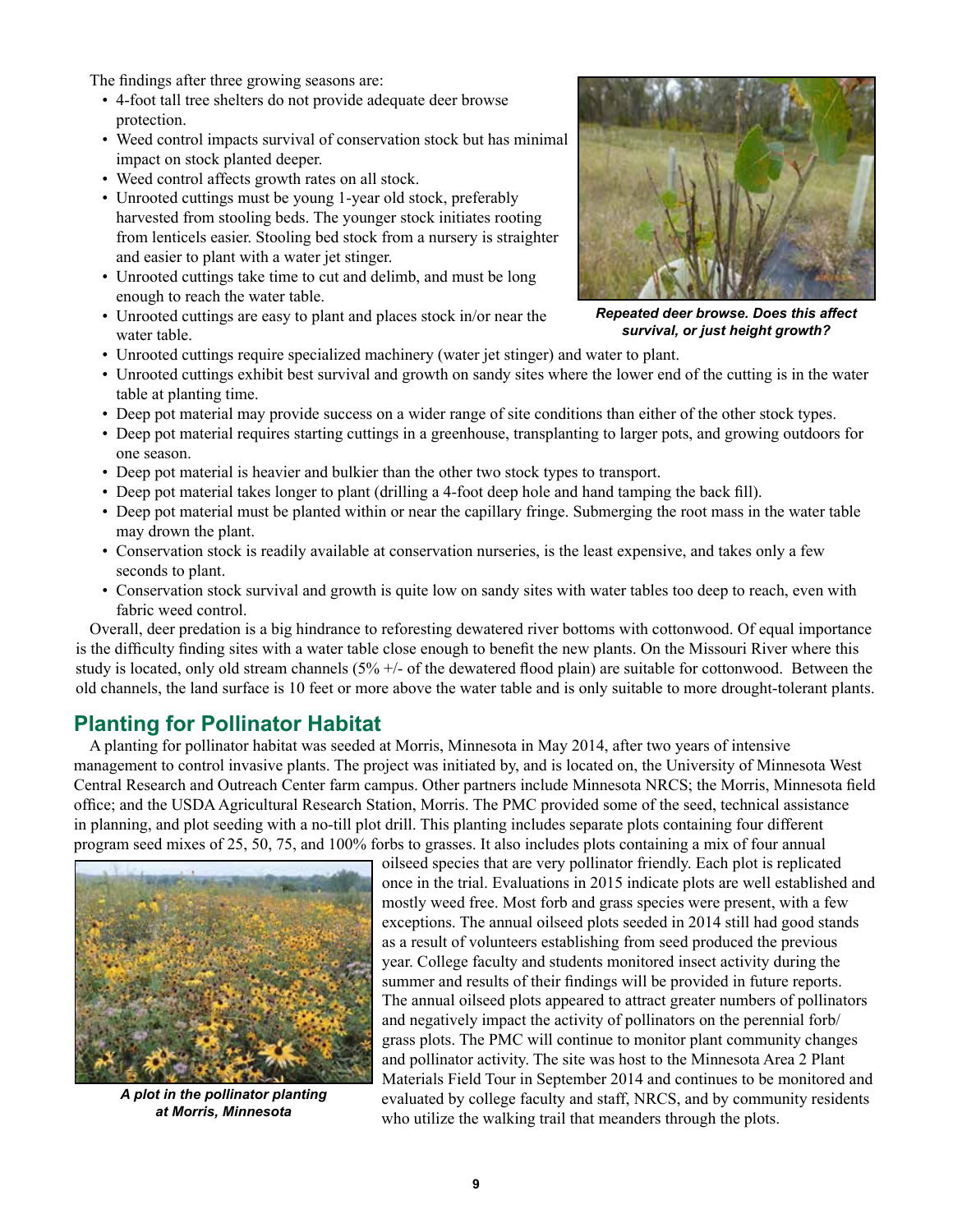The findings after three growing seasons are:

- 4-foot tall tree shelters do not provide adequate deer browse protection.
- Weed control impacts survival of conservation stock but has minimal impact on stock planted deeper.
- Weed control affects growth rates on all stock.
- Unrooted cuttings must be young 1-year old stock, preferably harvested from stooling beds. The younger stock initiates rooting from lenticels easier. Stooling bed stock from a nursery is straighter and easier to plant with a water jet stinger.
- Unrooted cuttings take time to cut and delimb, and must be long enough to reach the water table.
- Unrooted cuttings are easy to plant and places stock in/or near the water table.



*Repeated deer browse. Does this affect survival, or just height growth?*

- Unrooted cuttings require specialized machinery (water jet stinger) and water to plant.
- Unrooted cuttings exhibit best survival and growth on sandy sites where the lower end of the cutting is in the water table at planting time.
- Deep pot material may provide success on a wider range of site conditions than either of the other stock types.
- Deep pot material requires starting cuttings in a greenhouse, transplanting to larger pots, and growing outdoors for one season.
- Deep pot material is heavier and bulkier than the other two stock types to transport.
- Deep pot material takes longer to plant (drilling a 4-foot deep hole and hand tamping the back fill).
- Deep pot material must be planted within or near the capillary fringe. Submerging the root mass in the water table may drown the plant.
- Conservation stock is readily available at conservation nurseries, is the least expensive, and takes only a few seconds to plant.
- Conservation stock survival and growth is quite low on sandy sites with water tables too deep to reach, even with fabric weed control.

Overall, deer predation is a big hindrance to reforesting dewatered river bottoms with cottonwood. Of equal importance is the difficulty finding sites with a water table close enough to benefit the new plants. On the Missouri River where this study is located, only old stream channels (5% +/- of the dewatered flood plain) are suitable for cottonwood. Between the old channels, the land surface is 10 feet or more above the water table and is only suitable to more drought-tolerant plants.

## <span id="page-8-0"></span>**Planting for Pollinator Habitat**

A planting for pollinator habitat was seeded at Morris, Minnesota in May 2014, after two years of intensive management to control invasive plants. The project was initiated by, and is located on, the University of Minnesota West Central Research and Outreach Center farm campus. Other partners include Minnesota NRCS; the Morris, Minnesota field office; and the USDA Agricultural Research Station, Morris. The PMC provided some of the seed, technical assistance in planning, and plot seeding with a no-till plot drill. This planting includes separate plots containing four different program seed mixes of 25, 50, 75, and 100% forbs to grasses. It also includes plots containing a mix of four annual



*A plot in the pollinator planting at Morris, Minnesota*

oilseed species that are very pollinator friendly. Each plot is replicated once in the trial. Evaluations in 2015 indicate plots are well established and mostly weed free. Most forb and grass species were present, with a few exceptions. The annual oilseed plots seeded in 2014 still had good stands as a result of volunteers establishing from seed produced the previous year. College faculty and students monitored insect activity during the summer and results of their findings will be provided in future reports. The annual oilseed plots appeared to attract greater numbers of pollinators and negatively impact the activity of pollinators on the perennial forb/ grass plots. The PMC will continue to monitor plant community changes and pollinator activity. The site was host to the Minnesota Area 2 Plant Materials Field Tour in September 2014 and continues to be monitored and evaluated by college faculty and staff, NRCS, and by community residents who utilize the walking trail that meanders through the plots.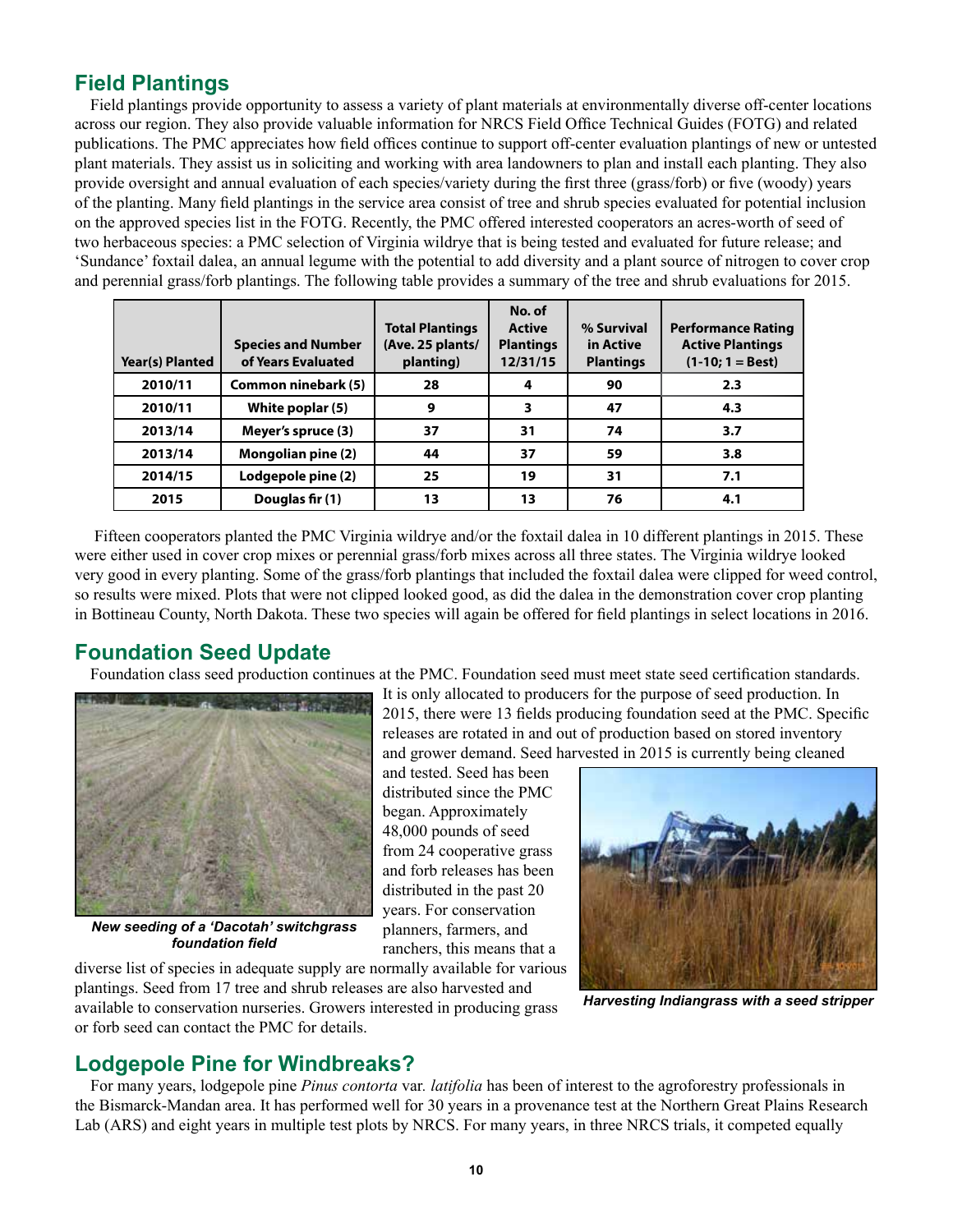## <span id="page-9-0"></span>**Field Plantings**

Field plantings provide opportunity to assess a variety of plant materials at environmentally diverse off-center locations across our region. They also provide valuable information for NRCS Field Office Technical Guides (FOTG) and related publications. The PMC appreciates how field offices continue to support off-center evaluation plantings of new or untested plant materials. They assist us in soliciting and working with area landowners to plan and install each planting. They also provide oversight and annual evaluation of each species/variety during the first three (grass/forb) or five (woody) years of the planting. Many field plantings in the service area consist of tree and shrub species evaluated for potential inclusion on the approved species list in the FOTG. Recently, the PMC offered interested cooperators an acres-worth of seed of two herbaceous species: a PMC selection of Virginia wildrye that is being tested and evaluated for future release; and 'Sundance' foxtail dalea, an annual legume with the potential to add diversity and a plant source of nitrogen to cover crop and perennial grass/forb plantings. The following table provides a summary of the tree and shrub evaluations for 2015.

| <b>Year(s) Planted</b> | <b>Species and Number</b><br>of Years Evaluated | <b>Total Plantings</b><br>(Ave. 25 plants/<br>planting) | No. of<br><b>Active</b><br><b>Plantings</b><br>12/31/15 | % Survival<br>in Active<br><b>Plantings</b> | <b>Performance Rating</b><br><b>Active Plantings</b><br>$(1-10; 1 = Best)$ |
|------------------------|-------------------------------------------------|---------------------------------------------------------|---------------------------------------------------------|---------------------------------------------|----------------------------------------------------------------------------|
| 2010/11                | Common ninebark (5)                             | 28                                                      | 4                                                       | 90                                          | 2.3                                                                        |
| 2010/11                | White poplar (5)                                | 9                                                       | 3                                                       | 47                                          | 4.3                                                                        |
| 2013/14                | Meyer's spruce (3)                              | 37                                                      | 31                                                      | 74                                          | 3.7                                                                        |
| 2013/14                | <b>Mongolian pine (2)</b>                       | 44                                                      | 37                                                      | 59                                          | 3.8                                                                        |
| 2014/15                | Lodgepole pine (2)                              | 25                                                      | 19                                                      | 31                                          | 7.1                                                                        |
| 2015                   | Douglas fir (1)                                 | 13                                                      | 13                                                      | 76                                          | 4.1                                                                        |

 Fifteen cooperators planted the PMC Virginia wildrye and/or the foxtail dalea in 10 different plantings in 2015. These were either used in cover crop mixes or perennial grass/forb mixes across all three states. The Virginia wildrye looked very good in every planting. Some of the grass/forb plantings that included the foxtail dalea were clipped for weed control, so results were mixed. Plots that were not clipped looked good, as did the dalea in the demonstration cover crop planting in Bottineau County, North Dakota. These two species will again be offered for field plantings in select locations in 2016.

# <span id="page-9-1"></span>**Foundation Seed Update**

Foundation class seed production continues at the PMC. Foundation seed must meet state seed certification standards.



*New seeding of a 'Dacotah' switchgrass foundation field*

It is only allocated to producers for the purpose of seed production. In 2015, there were 13 fields producing foundation seed at the PMC. Specific releases are rotated in and out of production based on stored inventory and grower demand. Seed harvested in 2015 is currently being cleaned

and tested. Seed has been distributed since the PMC began. Approximately 48,000 pounds of seed from 24 cooperative grass and forb releases has been distributed in the past 20 years. For conservation planners, farmers, and ranchers, this means that a



*Harvesting Indiangrass with a seed stripper*

plantings. Seed from 17 tree and shrub releases are also harvested and available to conservation nurseries. Growers interested in producing grass or forb seed can contact the PMC for details.

diverse list of species in adequate supply are normally available for various

## <span id="page-9-2"></span>**Lodgepole Pine for Windbreaks?**

For many years, lodgepole pine *Pinus contorta* var*. latifolia* has been of interest to the agroforestry professionals in the Bismarck-Mandan area. It has performed well for 30 years in a provenance test at the Northern Great Plains Research Lab (ARS) and eight years in multiple test plots by NRCS. For many years, in three NRCS trials, it competed equally